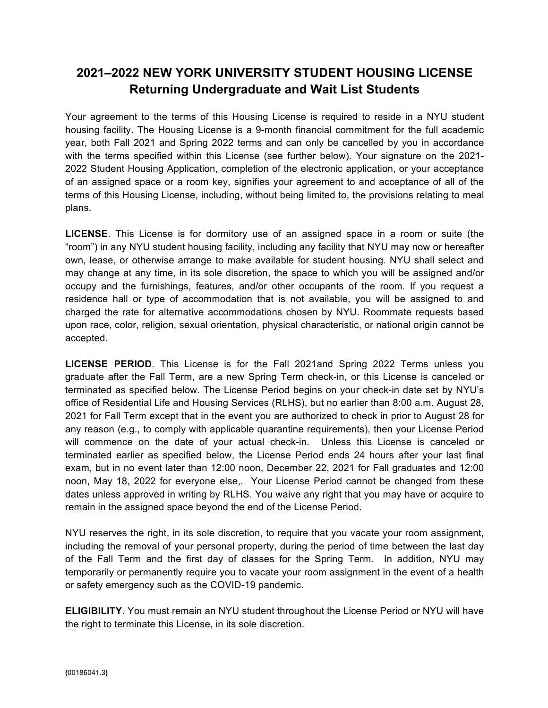## **2021–2022 NEW YORK UNIVERSITY STUDENT HOUSING LICENSE Returning Undergraduate and Wait List Students**

Your agreement to the terms of this Housing License is required to reside in a NYU student housing facility. The Housing License is a 9-month financial commitment for the full academic year, both Fall 2021 and Spring 2022 terms and can only be cancelled by you in accordance with the terms specified within this License (see further below). Your signature on the 2021- 2022 Student Housing Application, completion of the electronic application, or your acceptance of an assigned space or a room key, signifies your agreement to and acceptance of all of the terms of this Housing License, including, without being limited to, the provisions relating to meal plans.

**LICENSE**. This License is for dormitory use of an assigned space in a room or suite (the "room") in any NYU student housing facility, including any facility that NYU may now or hereafter own, lease, or otherwise arrange to make available for student housing. NYU shall select and may change at any time, in its sole discretion, the space to which you will be assigned and/or occupy and the furnishings, features, and/or other occupants of the room. If you request a residence hall or type of accommodation that is not available, you will be assigned to and charged the rate for alternative accommodations chosen by NYU. Roommate requests based upon race, color, religion, sexual orientation, physical characteristic, or national origin cannot be accepted.

**LICENSE PERIOD**. This License is for the Fall 2021and Spring 2022 Terms unless you graduate after the Fall Term, are a new Spring Term check-in, or this License is canceled or terminated as specified below. The License Period begins on your check-in date set by NYU's office of Residential Life and Housing Services (RLHS), but no earlier than 8:00 a.m. August 28, 2021 for Fall Term except that in the event you are authorized to check in prior to August 28 for any reason (e.g., to comply with applicable quarantine requirements), then your License Period will commence on the date of your actual check-in. Unless this License is canceled or terminated earlier as specified below, the License Period ends 24 hours after your last final exam, but in no event later than 12:00 noon, December 22, 2021 for Fall graduates and 12:00 noon, May 18, 2022 for everyone else,. Your License Period cannot be changed from these dates unless approved in writing by RLHS. You waive any right that you may have or acquire to remain in the assigned space beyond the end of the License Period.

NYU reserves the right, in its sole discretion, to require that you vacate your room assignment, including the removal of your personal property, during the period of time between the last day of the Fall Term and the first day of classes for the Spring Term. In addition, NYU may temporarily or permanently require you to vacate your room assignment in the event of a health or safety emergency such as the COVID-19 pandemic.

**ELIGIBILITY**. You must remain an NYU student throughout the License Period or NYU will have the right to terminate this License, in its sole discretion.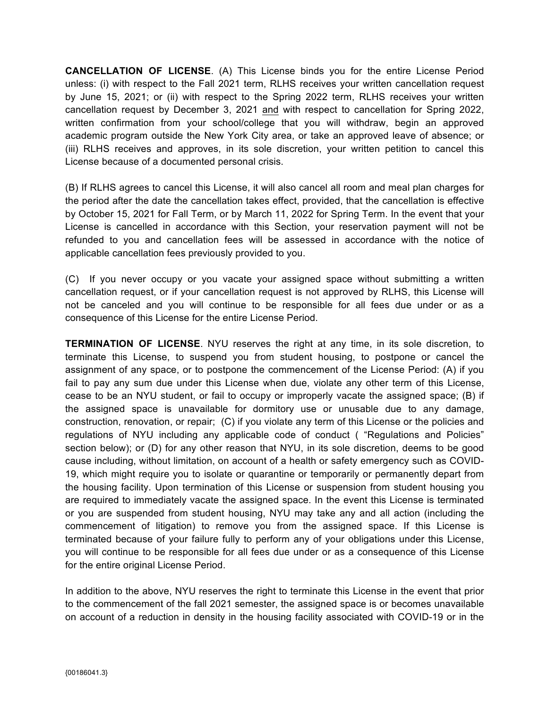**CANCELLATION OF LICENSE**. (A) This License binds you for the entire License Period unless: (i) with respect to the Fall 2021 term, RLHS receives your written cancellation request by June 15, 2021; or (ii) with respect to the Spring 2022 term, RLHS receives your written cancellation request by December 3, 2021 and with respect to cancellation for Spring 2022, written confirmation from your school/college that you will withdraw, begin an approved academic program outside the New York City area, or take an approved leave of absence; or (iii) RLHS receives and approves, in its sole discretion, your written petition to cancel this License because of a documented personal crisis.

(B) If RLHS agrees to cancel this License, it will also cancel all room and meal plan charges for the period after the date the cancellation takes effect, provided, that the cancellation is effective by October 15, 2021 for Fall Term, or by March 11, 2022 for Spring Term. In the event that your License is cancelled in accordance with this Section, your reservation payment will not be refunded to you and cancellation fees will be assessed in accordance with the notice of applicable cancellation fees previously provided to you.

(C) If you never occupy or you vacate your assigned space without submitting a written cancellation request, or if your cancellation request is not approved by RLHS, this License will not be canceled and you will continue to be responsible for all fees due under or as a consequence of this License for the entire License Period.

**TERMINATION OF LICENSE**. NYU reserves the right at any time, in its sole discretion, to terminate this License, to suspend you from student housing, to postpone or cancel the assignment of any space, or to postpone the commencement of the License Period: (A) if you fail to pay any sum due under this License when due, violate any other term of this License, cease to be an NYU student, or fail to occupy or improperly vacate the assigned space; (B) if the assigned space is unavailable for dormitory use or unusable due to any damage, construction, renovation, or repair; (C) if you violate any term of this License or the policies and regulations of NYU including any applicable code of conduct ( "Regulations and Policies" section below); or (D) for any other reason that NYU, in its sole discretion, deems to be good cause including, without limitation, on account of a health or safety emergency such as COVID-19, which might require you to isolate or quarantine or temporarily or permanently depart from the housing facility. Upon termination of this License or suspension from student housing you are required to immediately vacate the assigned space. In the event this License is terminated or you are suspended from student housing, NYU may take any and all action (including the commencement of litigation) to remove you from the assigned space. If this License is terminated because of your failure fully to perform any of your obligations under this License, you will continue to be responsible for all fees due under or as a consequence of this License for the entire original License Period.

In addition to the above, NYU reserves the right to terminate this License in the event that prior to the commencement of the fall 2021 semester, the assigned space is or becomes unavailable on account of a reduction in density in the housing facility associated with COVID-19 or in the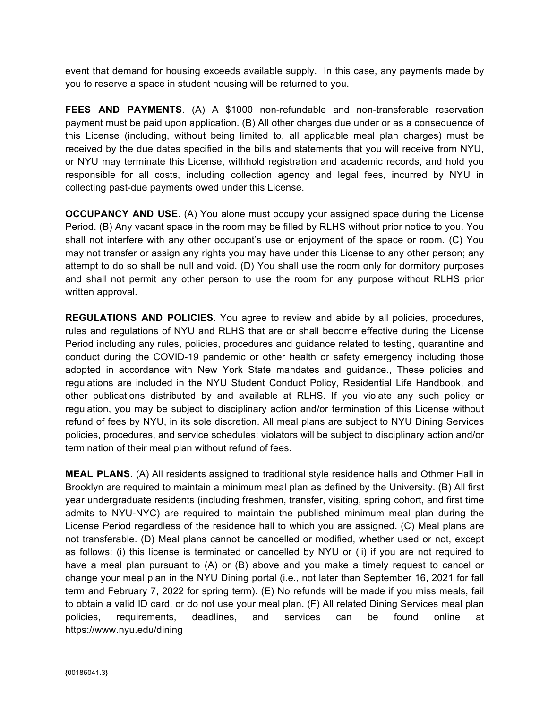event that demand for housing exceeds available supply. In this case, any payments made by you to reserve a space in student housing will be returned to you.

**FEES AND PAYMENTS**. (A) A \$1000 non-refundable and non-transferable reservation payment must be paid upon application. (B) All other charges due under or as a consequence of this License (including, without being limited to, all applicable meal plan charges) must be received by the due dates specified in the bills and statements that you will receive from NYU, or NYU may terminate this License, withhold registration and academic records, and hold you responsible for all costs, including collection agency and legal fees, incurred by NYU in collecting past-due payments owed under this License.

**OCCUPANCY AND USE.** (A) You alone must occupy your assigned space during the License Period. (B) Any vacant space in the room may be filled by RLHS without prior notice to you. You shall not interfere with any other occupant's use or enjoyment of the space or room. (C) You may not transfer or assign any rights you may have under this License to any other person; any attempt to do so shall be null and void. (D) You shall use the room only for dormitory purposes and shall not permit any other person to use the room for any purpose without RLHS prior written approval.

**REGULATIONS AND POLICIES**. You agree to review and abide by all policies, procedures, rules and regulations of NYU and RLHS that are or shall become effective during the License Period including any rules, policies, procedures and guidance related to testing, quarantine and conduct during the COVID-19 pandemic or other health or safety emergency including those adopted in accordance with New York State mandates and guidance., These policies and regulations are included in the NYU Student Conduct Policy, Residential Life Handbook, and other publications distributed by and available at RLHS. If you violate any such policy or regulation, you may be subject to disciplinary action and/or termination of this License without refund of fees by NYU, in its sole discretion. All meal plans are subject to NYU Dining Services policies, procedures, and service schedules; violators will be subject to disciplinary action and/or termination of their meal plan without refund of fees.

**MEAL PLANS**. (A) All residents assigned to traditional style residence halls and Othmer Hall in Brooklyn are required to maintain a minimum meal plan as defined by the University. (B) All first year undergraduate residents (including freshmen, transfer, visiting, spring cohort, and first time admits to NYU-NYC) are required to maintain the published minimum meal plan during the License Period regardless of the residence hall to which you are assigned. (C) Meal plans are not transferable. (D) Meal plans cannot be cancelled or modified, whether used or not, except as follows: (i) this license is terminated or cancelled by NYU or (ii) if you are not required to have a meal plan pursuant to (A) or (B) above and you make a timely request to cancel or change your meal plan in the NYU Dining portal (i.e., not later than September 16, 2021 for fall term and February 7, 2022 for spring term). (E) No refunds will be made if you miss meals, fail to obtain a valid ID card, or do not use your meal plan. (F) All related Dining Services meal plan policies, requirements, deadlines, and services can be found online at https://www.nyu.edu/dining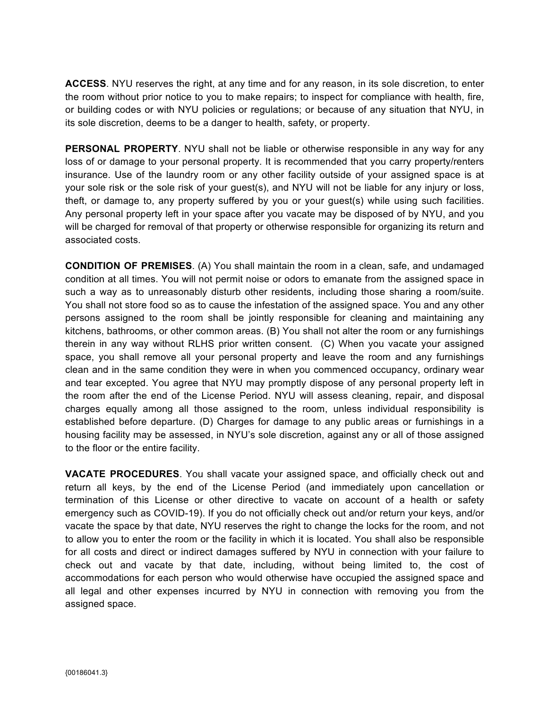**ACCESS**. NYU reserves the right, at any time and for any reason, in its sole discretion, to enter the room without prior notice to you to make repairs; to inspect for compliance with health, fire, or building codes or with NYU policies or regulations; or because of any situation that NYU, in its sole discretion, deems to be a danger to health, safety, or property.

**PERSONAL PROPERTY**. NYU shall not be liable or otherwise responsible in any way for any loss of or damage to your personal property. It is recommended that you carry property/renters insurance. Use of the laundry room or any other facility outside of your assigned space is at your sole risk or the sole risk of your guest(s), and NYU will not be liable for any injury or loss, theft, or damage to, any property suffered by you or your guest(s) while using such facilities. Any personal property left in your space after you vacate may be disposed of by NYU, and you will be charged for removal of that property or otherwise responsible for organizing its return and associated costs.

**CONDITION OF PREMISES**. (A) You shall maintain the room in a clean, safe, and undamaged condition at all times. You will not permit noise or odors to emanate from the assigned space in such a way as to unreasonably disturb other residents, including those sharing a room/suite. You shall not store food so as to cause the infestation of the assigned space. You and any other persons assigned to the room shall be jointly responsible for cleaning and maintaining any kitchens, bathrooms, or other common areas. (B) You shall not alter the room or any furnishings therein in any way without RLHS prior written consent. (C) When you vacate your assigned space, you shall remove all your personal property and leave the room and any furnishings clean and in the same condition they were in when you commenced occupancy, ordinary wear and tear excepted. You agree that NYU may promptly dispose of any personal property left in the room after the end of the License Period. NYU will assess cleaning, repair, and disposal charges equally among all those assigned to the room, unless individual responsibility is established before departure. (D) Charges for damage to any public areas or furnishings in a housing facility may be assessed, in NYU's sole discretion, against any or all of those assigned to the floor or the entire facility.

**VACATE PROCEDURES**. You shall vacate your assigned space, and officially check out and return all keys, by the end of the License Period (and immediately upon cancellation or termination of this License or other directive to vacate on account of a health or safety emergency such as COVID-19). If you do not officially check out and/or return your keys, and/or vacate the space by that date, NYU reserves the right to change the locks for the room, and not to allow you to enter the room or the facility in which it is located. You shall also be responsible for all costs and direct or indirect damages suffered by NYU in connection with your failure to check out and vacate by that date, including, without being limited to, the cost of accommodations for each person who would otherwise have occupied the assigned space and all legal and other expenses incurred by NYU in connection with removing you from the assigned space.